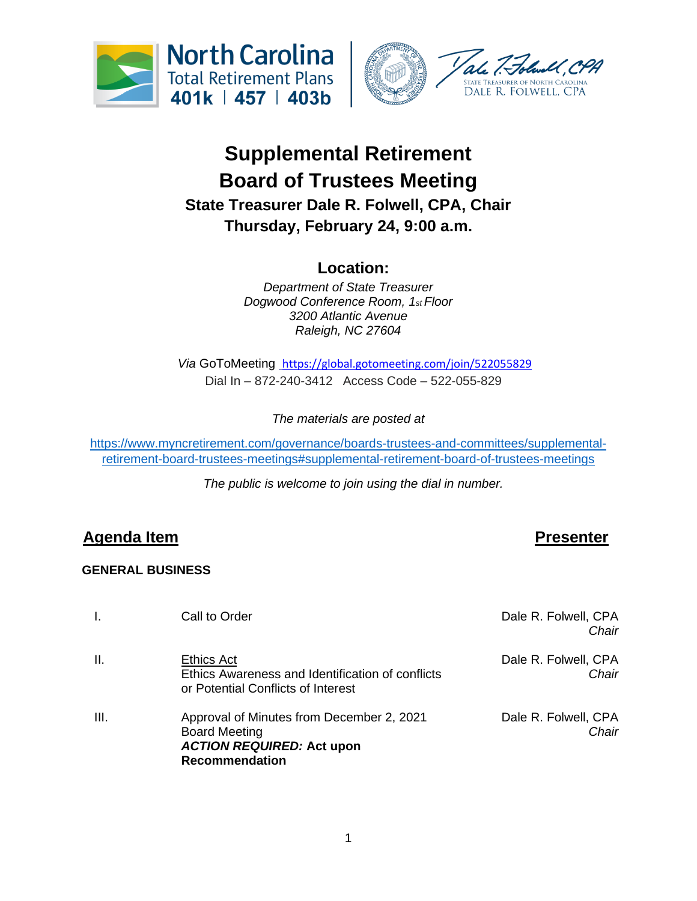



# **Supplemental Retirement Board of Trustees Meeting State Treasurer Dale R. Folwell, CPA, Chair Thursday, February 24, 9:00 a.m.**

# **Location:**

*Department of State Treasurer Dogwood Conference Room, 1st Floor 3200 Atlantic Avenue Raleigh, NC 27604*

*Via* GoToMeeting <https://global.gotomeeting.com/join/522055829> Dial In – 872-240-3412 Access Code – 522-055-829

*The materials are posted at* 

[https://www.myncretirement.com/governance/boards-trustees-and-committees/supplemental](https://www.myncretirement.com/governance/boards-trustees-and-committees/supplemental-retirement-board-trustees-meetings#supplemental-retirement-board-of-trustees-meetings)[retirement-board-trustees-meetings#supplemental-retirement-board-of-trustees-meetings](https://www.myncretirement.com/governance/boards-trustees-and-committees/supplemental-retirement-board-trustees-meetings#supplemental-retirement-board-of-trustees-meetings)

*The public is welcome to join using the dial in number.*

## **Agenda Item Presenter**

### **GENERAL BUSINESS**

| Ι.   | Call to Order                                                                                                                  | Dale R. Folwell, CPA<br>Chair |
|------|--------------------------------------------------------------------------------------------------------------------------------|-------------------------------|
| Ш.   | <b>Ethics Act</b><br>Ethics Awareness and Identification of conflicts<br>or Potential Conflicts of Interest                    | Dale R. Folwell, CPA<br>Chair |
| III. | Approval of Minutes from December 2, 2021<br><b>Board Meeting</b><br><b>ACTION REQUIRED: Act upon</b><br><b>Recommendation</b> | Dale R. Folwell, CPA<br>Chair |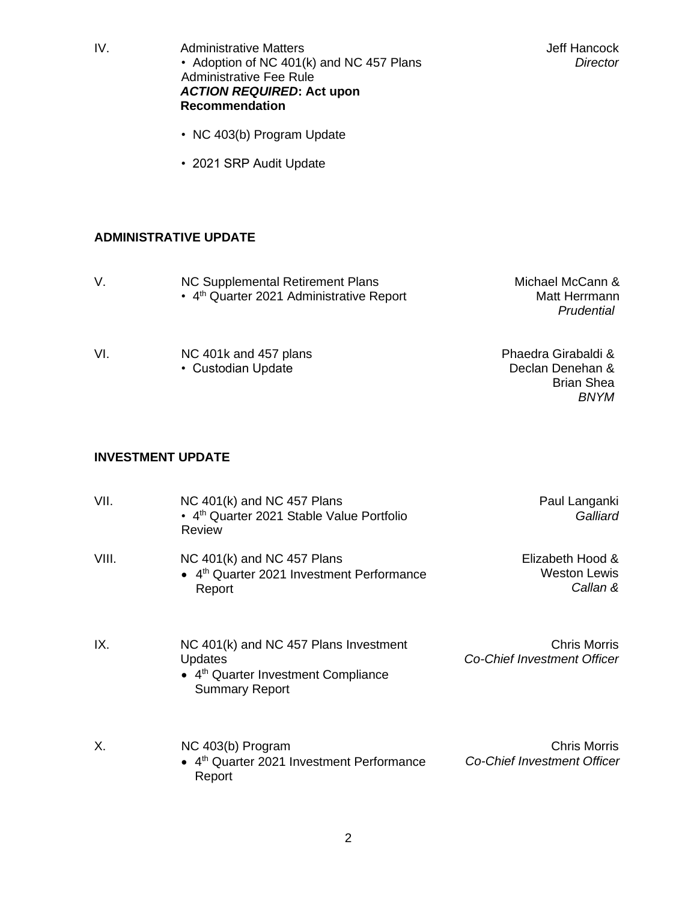| IV.                      | <b>Administrative Matters</b><br>• Adoption of NC 401(k) and NC 457 Plans<br><b>Administrative Fee Rule</b><br><b>ACTION REQUIRED: Act upon</b><br><b>Recommendation</b> | Jeff Hancock<br><b>Director</b>                                             |
|--------------------------|--------------------------------------------------------------------------------------------------------------------------------------------------------------------------|-----------------------------------------------------------------------------|
|                          | • NC 403(b) Program Update                                                                                                                                               |                                                                             |
|                          | • 2021 SRP Audit Update                                                                                                                                                  |                                                                             |
|                          |                                                                                                                                                                          |                                                                             |
|                          | <b>ADMINISTRATIVE UPDATE</b>                                                                                                                                             |                                                                             |
| V.                       | <b>NC Supplemental Retirement Plans</b><br>• 4 <sup>th</sup> Quarter 2021 Administrative Report                                                                          | Michael McCann &<br>Matt Herrmann<br>Prudential                             |
| VI.                      | NC 401k and 457 plans<br>• Custodian Update                                                                                                                              | Phaedra Girabaldi &<br>Declan Denehan &<br><b>Brian Shea</b><br><b>BNYM</b> |
| <b>INVESTMENT UPDATE</b> |                                                                                                                                                                          |                                                                             |
| VII.                     | NC 401(k) and NC 457 Plans<br>• 4 <sup>th</sup> Quarter 2021 Stable Value Portfolio                                                                                      | Paul Langanki<br>Galliard                                                   |

| VIII. | NC $401(k)$ and NC $457$ Plans<br>• 4 <sup>th</sup> Quarter 2021 Investment Performance<br>Report | Elizabeth Hood &<br>Weston Lewis<br>Callan & |
|-------|---------------------------------------------------------------------------------------------------|----------------------------------------------|
|       |                                                                                                   |                                              |

Review

IX. NC 401(k) and NC 457 Plans Investment **Updates** • 4<sup>th</sup> Quarter Investment Compliance Summary Report Chris Morris *Co-Chief Investment Officer*

X. NC 403(b) Program • 4<sup>th</sup> Quarter 2021 Investment Performance Report Chris Morris *Co-Chief Investment Officer*